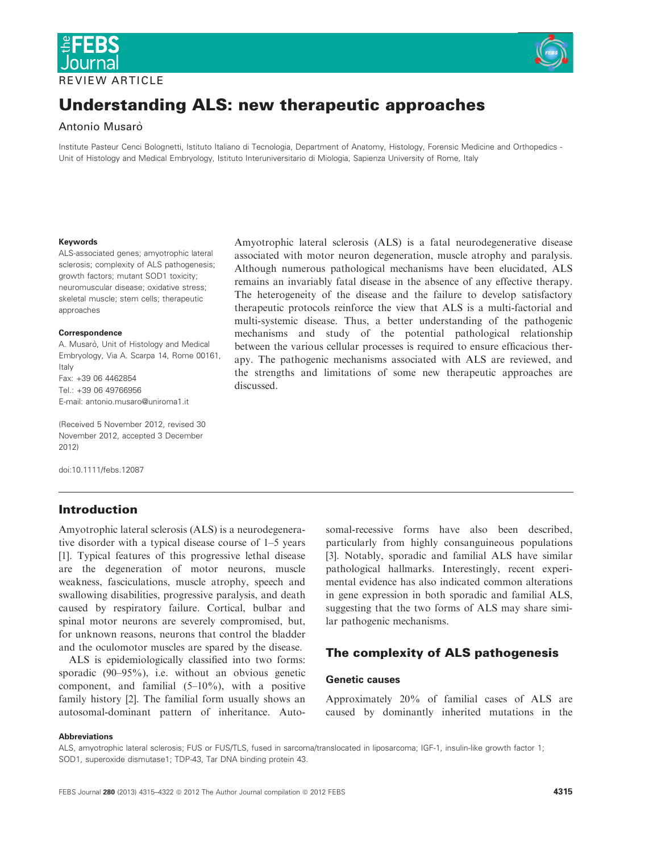

# REVIEW ARTICLE



# Understanding ALS: new therapeutic approaches

## Antonio Musarò

Institute Pasteur Cenci Bolognetti, Istituto Italiano di Tecnologia, Department of Anatomy, Histology, Forensic Medicine and Orthopedics - Unit of Histology and Medical Embryology, Istituto Interuniversitario di Miologia, Sapienza University of Rome, Italy

#### Keywords

ALS-associated genes; amyotrophic lateral sclerosis; complexity of ALS pathogenesis; growth factors; mutant SOD1 toxicity; neuromuscular disease; oxidative stress; skeletal muscle; stem cells; therapeutic approaches

#### **Correspondence**

A. Musarò, Unit of Histology and Medical Embryology, Via A. Scarpa 14, Rome 00161, Italy Fax: +39 06 4462854 Tel.: +39 06 49766956 E-mail: antonio.musaro@uniroma1.it

(Received 5 November 2012, revised 30 November 2012, accepted 3 December 2012)

doi:10.1111/febs.12087

# Introduction

Amyotrophic lateral sclerosis (ALS) is a neurodegenerative disorder with a typical disease course of 1–5 years [1]. Typical features of this progressive lethal disease are the degeneration of motor neurons, muscle weakness, fasciculations, muscle atrophy, speech and swallowing disabilities, progressive paralysis, and death caused by respiratory failure. Cortical, bulbar and spinal motor neurons are severely compromised, but, for unknown reasons, neurons that control the bladder and the oculomotor muscles are spared by the disease.

ALS is epidemiologically classified into two forms: sporadic (90–95%), i.e. without an obvious genetic component, and familial (5–10%), with a positive family history [2]. The familial form usually shows an autosomal-dominant pattern of inheritance. Auto-

Amyotrophic lateral sclerosis (ALS) is a fatal neurodegenerative disease associated with motor neuron degeneration, muscle atrophy and paralysis. Although numerous pathological mechanisms have been elucidated, ALS remains an invariably fatal disease in the absence of any effective therapy. The heterogeneity of the disease and the failure to develop satisfactory therapeutic protocols reinforce the view that ALS is a multi-factorial and multi-systemic disease. Thus, a better understanding of the pathogenic mechanisms and study of the potential pathological relationship between the various cellular processes is required to ensure efficacious therapy. The pathogenic mechanisms associated with ALS are reviewed, and the strengths and limitations of some new therapeutic approaches are discussed.

> somal-recessive forms have also been described, particularly from highly consanguineous populations [3]. Notably, sporadic and familial ALS have similar pathological hallmarks. Interestingly, recent experimental evidence has also indicated common alterations in gene expression in both sporadic and familial ALS, suggesting that the two forms of ALS may share similar pathogenic mechanisms.

# The complexity of ALS pathogenesis

#### Genetic causes

Approximately 20% of familial cases of ALS are caused by dominantly inherited mutations in the

#### Abbreviations

ALS, amyotrophic lateral sclerosis; FUS or FUS/TLS, fused in sarcoma/translocated in liposarcoma; IGF-1, insulin-like growth factor 1; SOD1, superoxide dismutase1; TDP-43, Tar DNA binding protein 43.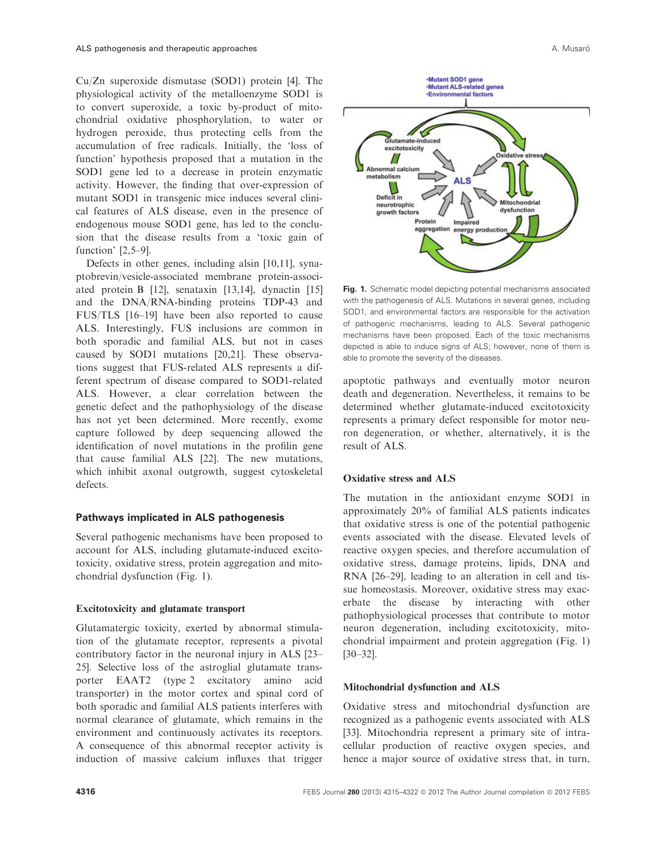Cu/Zn superoxide dismutase (SOD1) protein [4]. The physiological activity of the metalloenzyme SOD1 is to convert superoxide, a toxic by-product of mitochondrial oxidative phosphorylation, to water or hydrogen peroxide, thus protecting cells from the accumulation of free radicals. Initially, the 'loss of function' hypothesis proposed that a mutation in the SOD1 gene led to a decrease in protein enzymatic activity. However, the finding that over-expression of mutant SOD1 in transgenic mice induces several clinical features of ALS disease, even in the presence of endogenous mouse SOD1 gene, has led to the conclusion that the disease results from a 'toxic gain of function' [2,5–9].

Defects in other genes, including alsin [10,11], synaptobrevin/vesicle-associated membrane protein-associated protein B [12], senataxin [13,14], dynactin [15] and the DNA/RNA-binding proteins TDP-43 and FUS/TLS [16–19] have been also reported to cause ALS. Interestingly, FUS inclusions are common in both sporadic and familial ALS, but not in cases caused by SOD1 mutations [20,21]. These observations suggest that FUS-related ALS represents a different spectrum of disease compared to SOD1-related ALS. However, a clear correlation between the genetic defect and the pathophysiology of the disease has not yet been determined. More recently, exome capture followed by deep sequencing allowed the identification of novel mutations in the profilin gene that cause familial ALS [22]. The new mutations, which inhibit axonal outgrowth, suggest cytoskeletal defects.

#### Pathways implicated in ALS pathogenesis

Several pathogenic mechanisms have been proposed to account for ALS, including glutamate-induced excitotoxicity, oxidative stress, protein aggregation and mitochondrial dysfunction (Fig. 1).

#### Excitotoxicity and glutamate transport

Glutamatergic toxicity, exerted by abnormal stimulation of the glutamate receptor, represents a pivotal contributory factor in the neuronal injury in ALS [23– 25]. Selective loss of the astroglial glutamate transporter EAAT2 (type 2 excitatory amino acid transporter) in the motor cortex and spinal cord of both sporadic and familial ALS patients interferes with normal clearance of glutamate, which remains in the environment and continuously activates its receptors. A consequence of this abnormal receptor activity is induction of massive calcium influxes that trigger



Fig. 1. Schematic model depicting potential mechanisms associated with the pathogenesis of ALS. Mutations in several genes, including SOD1, and environmental factors are responsible for the activation of pathogenic mechanisms, leading to ALS. Several pathogenic mechanisms have been proposed. Each of the toxic mechanisms depicted is able to induce signs of ALS; however, none of them is able to promote the severity of the diseases.

apoptotic pathways and eventually motor neuron death and degeneration. Nevertheless, it remains to be determined whether glutamate-induced excitotoxicity represents a primary defect responsible for motor neuron degeneration, or whether, alternatively, it is the result of ALS.

#### Oxidative stress and ALS

The mutation in the antioxidant enzyme SOD1 in approximately 20% of familial ALS patients indicates that oxidative stress is one of the potential pathogenic events associated with the disease. Elevated levels of reactive oxygen species, and therefore accumulation of oxidative stress, damage proteins, lipids, DNA and RNA [26–29], leading to an alteration in cell and tissue homeostasis. Moreover, oxidative stress may exacerbate the disease by interacting with other pathophysiological processes that contribute to motor neuron degeneration, including excitotoxicity, mitochondrial impairment and protein aggregation (Fig. 1) [30–32].

#### Mitochondrial dysfunction and ALS

Oxidative stress and mitochondrial dysfunction are recognized as a pathogenic events associated with ALS [33]. Mitochondria represent a primary site of intracellular production of reactive oxygen species, and hence a major source of oxidative stress that, in turn,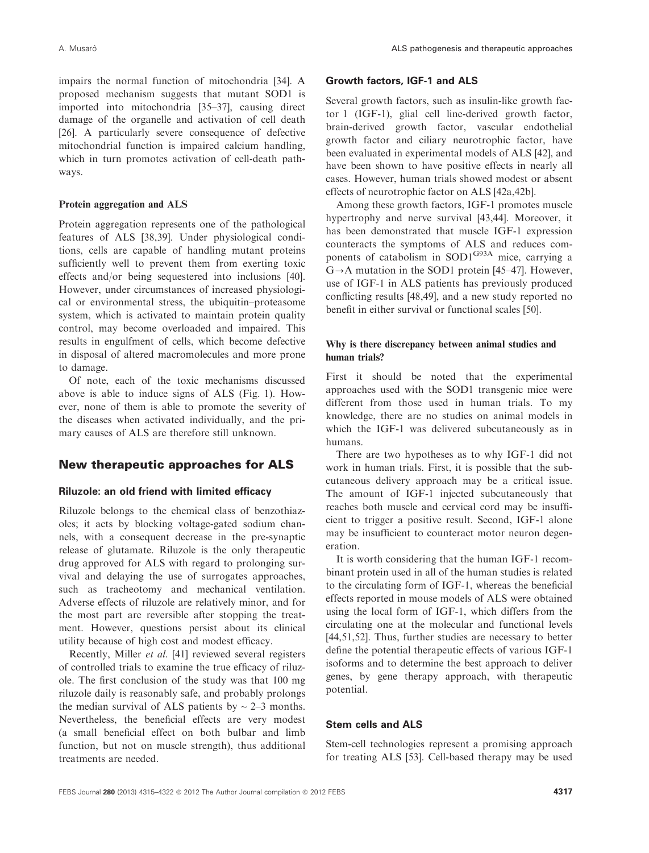impairs the normal function of mitochondria [34]. A proposed mechanism suggests that mutant SOD1 is imported into mitochondria [35–37], causing direct damage of the organelle and activation of cell death [26]. A particularly severe consequence of defective mitochondrial function is impaired calcium handling, which in turn promotes activation of cell-death pathways.

#### Protein aggregation and ALS

Protein aggregation represents one of the pathological features of ALS [38,39]. Under physiological conditions, cells are capable of handling mutant proteins sufficiently well to prevent them from exerting toxic effects and/or being sequestered into inclusions [40]. However, under circumstances of increased physiological or environmental stress, the ubiquitin–proteasome system, which is activated to maintain protein quality control, may become overloaded and impaired. This results in engulfment of cells, which become defective in disposal of altered macromolecules and more prone to damage.

Of note, each of the toxic mechanisms discussed above is able to induce signs of ALS (Fig. 1). However, none of them is able to promote the severity of the diseases when activated individually, and the primary causes of ALS are therefore still unknown.

# New therapeutic approaches for ALS

#### Riluzole: an old friend with limited efficacy

Riluzole belongs to the chemical class of benzothiazoles; it acts by blocking voltage-gated sodium channels, with a consequent decrease in the pre-synaptic release of glutamate. Riluzole is the only therapeutic drug approved for ALS with regard to prolonging survival and delaying the use of surrogates approaches, such as tracheotomy and mechanical ventilation. Adverse effects of riluzole are relatively minor, and for the most part are reversible after stopping the treatment. However, questions persist about its clinical utility because of high cost and modest efficacy.

Recently, Miller et al. [41] reviewed several registers of controlled trials to examine the true efficacy of riluzole. The first conclusion of the study was that 100 mg riluzole daily is reasonably safe, and probably prolongs the median survival of ALS patients by  $\sim$  2–3 months. Nevertheless, the beneficial effects are very modest (a small beneficial effect on both bulbar and limb function, but not on muscle strength), thus additional treatments are needed.

#### Growth factors, IGF-1 and ALS

Several growth factors, such as insulin-like growth factor 1 (IGF-1), glial cell line-derived growth factor, brain-derived growth factor, vascular endothelial growth factor and ciliary neurotrophic factor, have been evaluated in experimental models of ALS [42], and have been shown to have positive effects in nearly all cases. However, human trials showed modest or absent effects of neurotrophic factor on ALS [42a,42b].

Among these growth factors, IGF-1 promotes muscle hypertrophy and nerve survival [43,44]. Moreover, it has been demonstrated that muscle IGF-1 expression counteracts the symptoms of ALS and reduces components of catabolism in SOD1<sup>G93A</sup> mice, carrying a  $G \rightarrow A$  mutation in the SOD1 protein [45–47]. However, use of IGF-1 in ALS patients has previously produced conflicting results [48,49], and a new study reported no benefit in either survival or functional scales [50].

## Why is there discrepancy between animal studies and human trials?

First it should be noted that the experimental approaches used with the SOD1 transgenic mice were different from those used in human trials. To my knowledge, there are no studies on animal models in which the IGF-1 was delivered subcutaneously as in humans.

There are two hypotheses as to why IGF-1 did not work in human trials. First, it is possible that the subcutaneous delivery approach may be a critical issue. The amount of IGF-1 injected subcutaneously that reaches both muscle and cervical cord may be insufficient to trigger a positive result. Second, IGF-1 alone may be insufficient to counteract motor neuron degeneration.

It is worth considering that the human IGF-1 recombinant protein used in all of the human studies is related to the circulating form of IGF-1, whereas the beneficial effects reported in mouse models of ALS were obtained using the local form of IGF-1, which differs from the circulating one at the molecular and functional levels [44,51,52]. Thus, further studies are necessary to better define the potential therapeutic effects of various IGF-1 isoforms and to determine the best approach to deliver genes, by gene therapy approach, with therapeutic potential.

#### Stem cells and ALS

Stem-cell technologies represent a promising approach for treating ALS [53]. Cell-based therapy may be used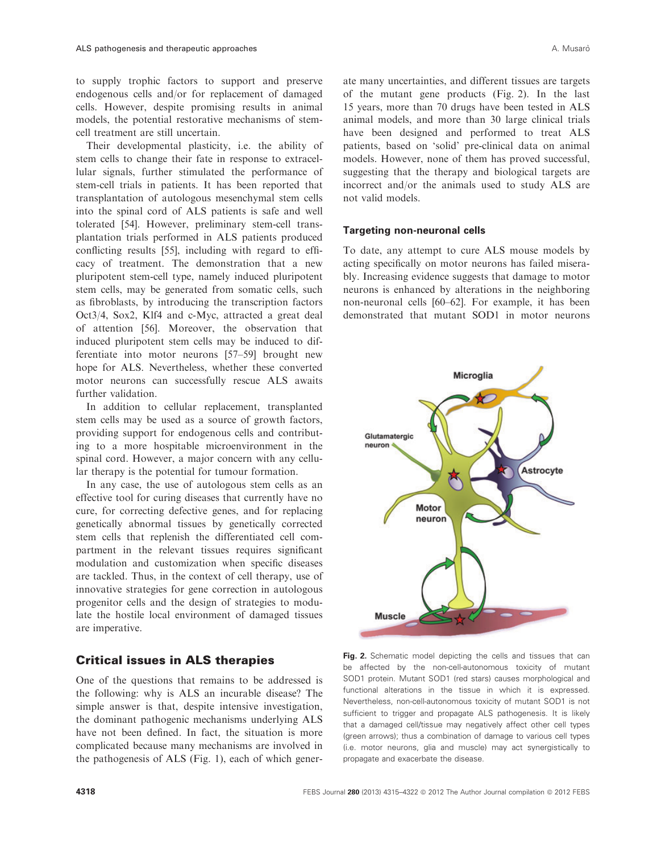to supply trophic factors to support and preserve endogenous cells and/or for replacement of damaged cells. However, despite promising results in animal models, the potential restorative mechanisms of stemcell treatment are still uncertain.

Their developmental plasticity, i.e. the ability of stem cells to change their fate in response to extracellular signals, further stimulated the performance of stem-cell trials in patients. It has been reported that transplantation of autologous mesenchymal stem cells into the spinal cord of ALS patients is safe and well tolerated [54]. However, preliminary stem-cell transplantation trials performed in ALS patients produced conflicting results [55], including with regard to efficacy of treatment. The demonstration that a new pluripotent stem-cell type, namely induced pluripotent stem cells, may be generated from somatic cells, such as fibroblasts, by introducing the transcription factors Oct3/4, Sox2, Klf4 and c-Myc, attracted a great deal of attention [56]. Moreover, the observation that induced pluripotent stem cells may be induced to differentiate into motor neurons [57–59] brought new hope for ALS. Nevertheless, whether these converted motor neurons can successfully rescue ALS awaits further validation.

In addition to cellular replacement, transplanted stem cells may be used as a source of growth factors, providing support for endogenous cells and contributing to a more hospitable microenvironment in the spinal cord. However, a major concern with any cellular therapy is the potential for tumour formation.

In any case, the use of autologous stem cells as an effective tool for curing diseases that currently have no cure, for correcting defective genes, and for replacing genetically abnormal tissues by genetically corrected stem cells that replenish the differentiated cell compartment in the relevant tissues requires significant modulation and customization when specific diseases are tackled. Thus, in the context of cell therapy, use of innovative strategies for gene correction in autologous progenitor cells and the design of strategies to modulate the hostile local environment of damaged tissues are imperative.

# Critical issues in ALS therapies

One of the questions that remains to be addressed is the following: why is ALS an incurable disease? The simple answer is that, despite intensive investigation, the dominant pathogenic mechanisms underlying ALS have not been defined. In fact, the situation is more complicated because many mechanisms are involved in the pathogenesis of ALS (Fig. 1), each of which generate many uncertainties, and different tissues are targets of the mutant gene products (Fig. 2). In the last 15 years, more than 70 drugs have been tested in ALS animal models, and more than 30 large clinical trials have been designed and performed to treat ALS patients, based on 'solid' pre-clinical data on animal models. However, none of them has proved successful, suggesting that the therapy and biological targets are incorrect and/or the animals used to study ALS are not valid models.

#### Targeting non-neuronal cells

To date, any attempt to cure ALS mouse models by acting specifically on motor neurons has failed miserably. Increasing evidence suggests that damage to motor neurons is enhanced by alterations in the neighboring non-neuronal cells [60–62]. For example, it has been demonstrated that mutant SOD1 in motor neurons



Fig. 2. Schematic model depicting the cells and tissues that can be affected by the non-cell-autonomous toxicity of mutant SOD1 protein. Mutant SOD1 (red stars) causes morphological and functional alterations in the tissue in which it is expressed. Nevertheless, non-cell-autonomous toxicity of mutant SOD1 is not sufficient to trigger and propagate ALS pathogenesis. It is likely that a damaged cell/tissue may negatively affect other cell types (green arrows); thus a combination of damage to various cell types (i.e. motor neurons, glia and muscle) may act synergistically to propagate and exacerbate the disease.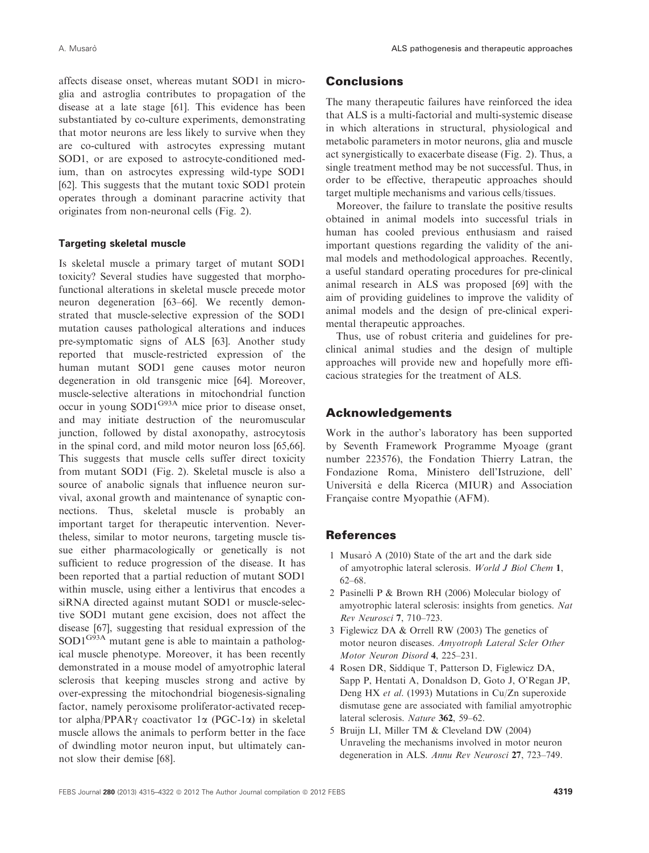affects disease onset, whereas mutant SOD1 in microglia and astroglia contributes to propagation of the disease at a late stage [61]. This evidence has been substantiated by co-culture experiments, demonstrating that motor neurons are less likely to survive when they are co-cultured with astrocytes expressing mutant SOD1, or are exposed to astrocyte-conditioned medium, than on astrocytes expressing wild-type SOD1 [62]. This suggests that the mutant toxic SOD1 protein operates through a dominant paracrine activity that originates from non-neuronal cells (Fig. 2).

## Targeting skeletal muscle

Is skeletal muscle a primary target of mutant SOD1 toxicity? Several studies have suggested that morphofunctional alterations in skeletal muscle precede motor neuron degeneration [63–66]. We recently demonstrated that muscle-selective expression of the SOD1 mutation causes pathological alterations and induces pre-symptomatic signs of ALS [63]. Another study reported that muscle-restricted expression of the human mutant SOD1 gene causes motor neuron degeneration in old transgenic mice [64]. Moreover, muscle-selective alterations in mitochondrial function occur in young SOD1G93A mice prior to disease onset, and may initiate destruction of the neuromuscular junction, followed by distal axonopathy, astrocytosis in the spinal cord, and mild motor neuron loss [65,66]. This suggests that muscle cells suffer direct toxicity from mutant SOD1 (Fig. 2). Skeletal muscle is also a source of anabolic signals that influence neuron survival, axonal growth and maintenance of synaptic connections. Thus, skeletal muscle is probably an important target for therapeutic intervention. Nevertheless, similar to motor neurons, targeting muscle tissue either pharmacologically or genetically is not sufficient to reduce progression of the disease. It has been reported that a partial reduction of mutant SOD1 within muscle, using either a lentivirus that encodes a siRNA directed against mutant SOD1 or muscle-selective SOD1 mutant gene excision, does not affect the disease [67], suggesting that residual expression of the  $SOD1^{G93A}$  mutant gene is able to maintain a pathological muscle phenotype. Moreover, it has been recently demonstrated in a mouse model of amyotrophic lateral sclerosis that keeping muscles strong and active by over-expressing the mitochondrial biogenesis-signaling factor, namely peroxisome proliferator-activated receptor alpha/PPAR $\gamma$  coactivator 1 $\alpha$  (PGC-1 $\alpha$ ) in skeletal muscle allows the animals to perform better in the face of dwindling motor neuron input, but ultimately cannot slow their demise [68].

# **Conclusions**

The many therapeutic failures have reinforced the idea that ALS is a multi-factorial and multi-systemic disease in which alterations in structural, physiological and metabolic parameters in motor neurons, glia and muscle act synergistically to exacerbate disease (Fig. 2). Thus, a single treatment method may be not successful. Thus, in order to be effective, therapeutic approaches should target multiple mechanisms and various cells/tissues.

Moreover, the failure to translate the positive results obtained in animal models into successful trials in human has cooled previous enthusiasm and raised important questions regarding the validity of the animal models and methodological approaches. Recently, a useful standard operating procedures for pre-clinical animal research in ALS was proposed [69] with the aim of providing guidelines to improve the validity of animal models and the design of pre-clinical experimental therapeutic approaches.

Thus, use of robust criteria and guidelines for preclinical animal studies and the design of multiple approaches will provide new and hopefully more efficacious strategies for the treatment of ALS.

# Acknowledgements

Work in the author's laboratory has been supported by Seventh Framework Programme Myoage (grant number 223576), the Fondation Thierry Latran, the Fondazione Roma, Ministero dell'Istruzione, dell' Universita` e della Ricerca (MIUR) and Association Française contre Myopathie (AFM).

# **References**

- 1 Musaro A (2010) State of the art and the dark side of amyotrophic lateral sclerosis. World J Biol Chem 1, 62–68.
- 2 Pasinelli P & Brown RH (2006) Molecular biology of amyotrophic lateral sclerosis: insights from genetics. Nat Rev Neurosci 7, 710–723.
- 3 Figlewicz DA & Orrell RW (2003) The genetics of motor neuron diseases. Amyotroph Lateral Scler Other Motor Neuron Disord 4, 225–231.
- 4 Rosen DR, Siddique T, Patterson D, Figlewicz DA, Sapp P, Hentati A, Donaldson D, Goto J, O'Regan JP, Deng HX et al. (1993) Mutations in Cu/Zn superoxide dismutase gene are associated with familial amyotrophic lateral sclerosis. Nature 362, 59–62.
- 5 Bruijn LI, Miller TM & Cleveland DW (2004) Unraveling the mechanisms involved in motor neuron degeneration in ALS. Annu Rev Neurosci 27, 723–749.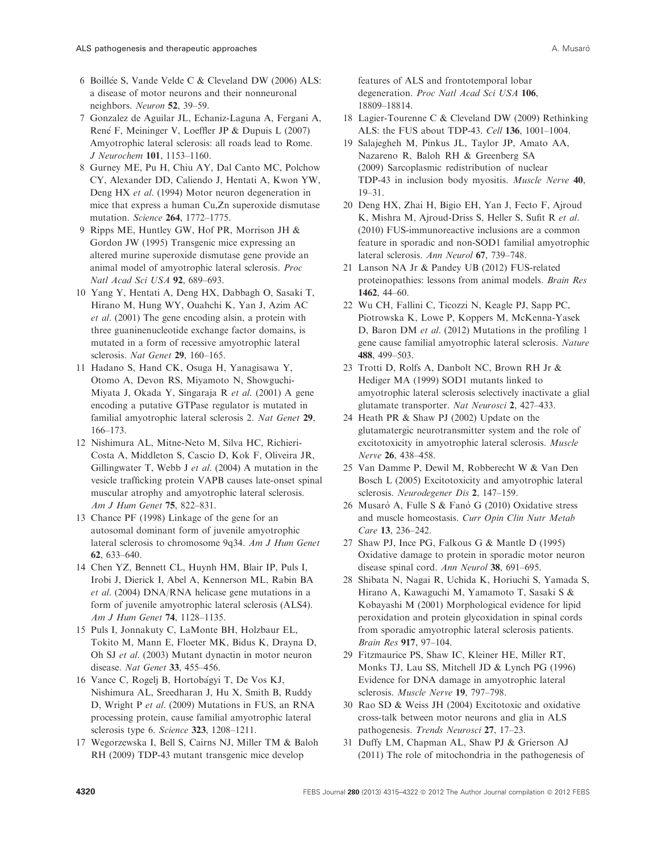- 6 Boillee S, Vande Velde C & Cleveland DW (2006) ALS: a disease of motor neurons and their nonneuronal neighbors. Neuron 52, 39–59.
- 7 Gonzalez de Aguilar JL, Echaniz-Laguna A, Fergani A, René F, Meininger V, Loeffler JP & Dupuis L (2007) Amyotrophic lateral sclerosis: all roads lead to Rome. J Neurochem 101, 1153–1160.
- 8 Gurney ME, Pu H, Chiu AY, Dal Canto MC, Polchow CY, Alexander DD, Caliendo J, Hentati A, Kwon YW, Deng HX et al. (1994) Motor neuron degeneration in mice that express a human Cu,Zn superoxide dismutase mutation. Science 264, 1772–1775.
- 9 Ripps ME, Huntley GW, Hof PR, Morrison JH & Gordon JW (1995) Transgenic mice expressing an altered murine superoxide dismutase gene provide an animal model of amyotrophic lateral sclerosis. Proc Natl Acad Sci USA 92, 689–693.
- 10 Yang Y, Hentati A, Deng HX, Dabbagh O, Sasaki T, Hirano M, Hung WY, Ouahchi K, Yan J, Azim AC et al. (2001) The gene encoding alsin, a protein with three guaninenucleotide exchange factor domains, is mutated in a form of recessive amyotrophic lateral sclerosis. Nat Genet 29, 160-165.
- 11 Hadano S, Hand CK, Osuga H, Yanagisawa Y, Otomo A, Devon RS, Miyamoto N, Showguchi-Miyata J, Okada Y, Singaraja R et al. (2001) A gene encoding a putative GTPase regulator is mutated in familial amyotrophic lateral sclerosis 2. Nat Genet 29, 166–173.
- 12 Nishimura AL, Mitne-Neto M, Silva HC, Richieri-Costa A, Middleton S, Cascio D, Kok F, Oliveira JR, Gillingwater T, Webb J et al. (2004) A mutation in the vesicle trafficking protein VAPB causes late-onset spinal muscular atrophy and amyotrophic lateral sclerosis. Am J Hum Genet 75, 822–831.
- 13 Chance PF (1998) Linkage of the gene for an autosomal dominant form of juvenile amyotrophic lateral sclerosis to chromosome 9q34. Am J Hum Genet 62, 633–640.
- 14 Chen YZ, Bennett CL, Huynh HM, Blair IP, Puls I, Irobi J, Dierick I, Abel A, Kennerson ML, Rabin BA et al. (2004) DNA/RNA helicase gene mutations in a form of juvenile amyotrophic lateral sclerosis (ALS4). Am J Hum Genet 74, 1128–1135.
- 15 Puls I, Jonnakuty C, LaMonte BH, Holzbaur EL, Tokito M, Mann E, Floeter MK, Bidus K, Drayna D, Oh SJ et al. (2003) Mutant dynactin in motor neuron disease. Nat Genet 33, 455–456.
- 16 Vance C, Rogelj B, Hortobagyi T, De Vos KJ, Nishimura AL, Sreedharan J, Hu X, Smith B, Ruddy D, Wright P et al. (2009) Mutations in FUS, an RNA processing protein, cause familial amyotrophic lateral sclerosis type 6. Science 323, 1208–1211.
- 17 Wegorzewska I, Bell S, Cairns NJ, Miller TM & Baloh RH (2009) TDP-43 mutant transgenic mice develop

features of ALS and frontotemporal lobar degeneration. Proc Natl Acad Sci USA 106, 18809–18814.

- 18 Lagier-Tourenne C & Cleveland DW (2009) Rethinking ALS: the FUS about TDP-43. Cell 136, 1001–1004.
- 19 Salajegheh M, Pinkus JL, Taylor JP, Amato AA, Nazareno R, Baloh RH & Greenberg SA (2009) Sarcoplasmic redistribution of nuclear TDP-43 in inclusion body myositis. Muscle Nerve 40, 19–31.
- 20 Deng HX, Zhai H, Bigio EH, Yan J, Fecto F, Ajroud K, Mishra M, Ajroud-Driss S, Heller S, Sufit R et al. (2010) FUS-immunoreactive inclusions are a common feature in sporadic and non-SOD1 familial amyotrophic lateral sclerosis. Ann Neurol 67, 739–748.
- 21 Lanson NA Jr & Pandey UB (2012) FUS-related proteinopathies: lessons from animal models. Brain Res 1462, 44–60.
- 22 Wu CH, Fallini C, Ticozzi N, Keagle PJ, Sapp PC, Piotrowska K, Lowe P, Koppers M, McKenna-Yasek D, Baron DM et al. (2012) Mutations in the profiling 1 gene cause familial amyotrophic lateral sclerosis. Nature 488, 499–503.
- 23 Trotti D, Rolfs A, Danbolt NC, Brown RH Jr & Hediger MA (1999) SOD1 mutants linked to amyotrophic lateral sclerosis selectively inactivate a glial glutamate transporter. Nat Neurosci 2, 427–433.
- 24 Heath PR & Shaw PJ (2002) Update on the glutamatergic neurotransmitter system and the role of excitotoxicity in amyotrophic lateral sclerosis. Muscle Nerve 26, 438–458.
- 25 Van Damme P, Dewil M, Robberecht W & Van Den Bosch L (2005) Excitotoxicity and amyotrophic lateral sclerosis. Neurodegener Dis 2, 147-159.
- 26 Musarò A, Fulle S & Fanò G (2010) Oxidative stress and muscle homeostasis. Curr Opin Clin Nutr Metab Care 13, 236–242.
- 27 Shaw PJ, Ince PG, Falkous G & Mantle D (1995) Oxidative damage to protein in sporadic motor neuron disease spinal cord. Ann Neurol 38, 691–695.
- 28 Shibata N, Nagai R, Uchida K, Horiuchi S, Yamada S, Hirano A, Kawaguchi M, Yamamoto T, Sasaki S & Kobayashi M (2001) Morphological evidence for lipid peroxidation and protein glycoxidation in spinal cords from sporadic amyotrophic lateral sclerosis patients. Brain Res 917, 97–104.
- 29 Fitzmaurice PS, Shaw IC, Kleiner HE, Miller RT, Monks TJ, Lau SS, Mitchell JD & Lynch PG (1996) Evidence for DNA damage in amyotrophic lateral sclerosis. Muscle Nerve 19, 797–798.
- 30 Rao SD & Weiss JH (2004) Excitotoxic and oxidative cross-talk between motor neurons and glia in ALS pathogenesis. Trends Neurosci 27, 17–23.
- 31 Duffy LM, Chapman AL, Shaw PJ & Grierson AJ (2011) The role of mitochondria in the pathogenesis of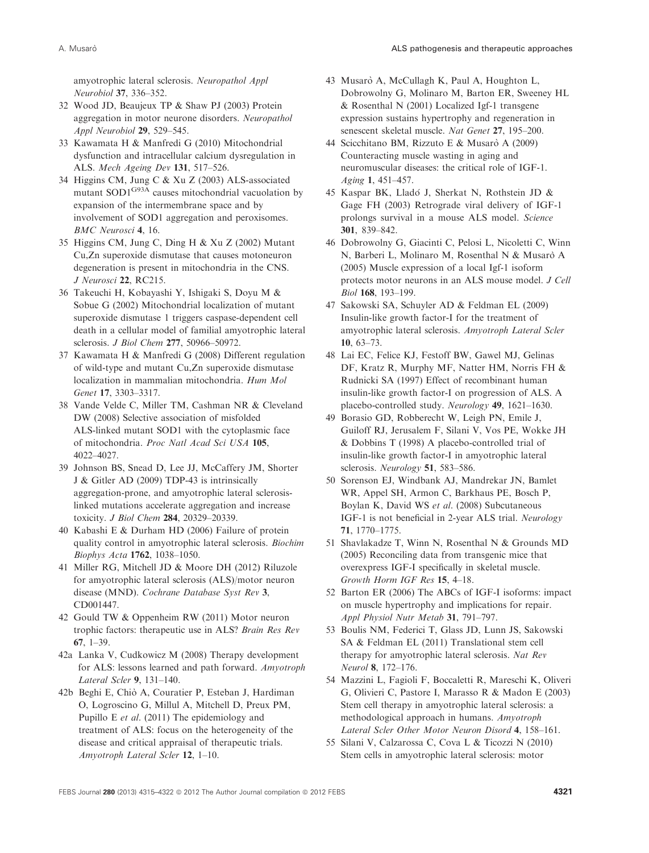amyotrophic lateral sclerosis. Neuropathol Appl Neurobiol 37, 336–352.

- 32 Wood JD, Beaujeux TP & Shaw PJ (2003) Protein aggregation in motor neurone disorders. Neuropathol Appl Neurobiol 29, 529–545.
- 33 Kawamata H & Manfredi G (2010) Mitochondrial dysfunction and intracellular calcium dysregulation in ALS. Mech Ageing Dev 131, 517–526.
- 34 Higgins CM, Jung C & Xu Z (2003) ALS-associated mutant SOD1<sup>G93A</sup> causes mitochondrial vacuolation by expansion of the intermembrane space and by involvement of SOD1 aggregation and peroxisomes. BMC Neurosci 4, 16.
- 35 Higgins CM, Jung C, Ding H & Xu Z (2002) Mutant Cu,Zn superoxide dismutase that causes motoneuron degeneration is present in mitochondria in the CNS. J Neurosci 22, RC215.
- 36 Takeuchi H, Kobayashi Y, Ishigaki S, Doyu M & Sobue G (2002) Mitochondrial localization of mutant superoxide dismutase 1 triggers caspase-dependent cell death in a cellular model of familial amyotrophic lateral sclerosis. *J Biol Chem* 277, 50966-50972.
- 37 Kawamata H & Manfredi G (2008) Different regulation of wild-type and mutant Cu,Zn superoxide dismutase localization in mammalian mitochondria. Hum Mol Genet 17, 3303–3317.
- 38 Vande Velde C, Miller TM, Cashman NR & Cleveland DW (2008) Selective association of misfolded ALS-linked mutant SOD1 with the cytoplasmic face of mitochondria. Proc Natl Acad Sci USA 105, 4022–4027.
- 39 Johnson BS, Snead D, Lee JJ, McCaffery JM, Shorter J & Gitler AD (2009) TDP-43 is intrinsically aggregation-prone, and amyotrophic lateral sclerosislinked mutations accelerate aggregation and increase toxicity. J Biol Chem 284, 20329–20339.
- 40 Kabashi E & Durham HD (2006) Failure of protein quality control in amyotrophic lateral sclerosis. Biochim Biophys Acta 1762, 1038–1050.
- 41 Miller RG, Mitchell JD & Moore DH (2012) Riluzole for amyotrophic lateral sclerosis (ALS)/motor neuron disease (MND). Cochrane Database Syst Rev 3, CD001447.
- 42 Gould TW & Oppenheim RW (2011) Motor neuron trophic factors: therapeutic use in ALS? Brain Res Rev 67, 1–39.
- 42a Lanka V, Cudkowicz M (2008) Therapy development for ALS: lessons learned and path forward. Amyotroph Lateral Scler 9, 131–140.
- 42b Beghi E, Chio` A, Couratier P, Esteban J, Hardiman O, Logroscino G, Millul A, Mitchell D, Preux PM, Pupillo E et al. (2011) The epidemiology and treatment of ALS: focus on the heterogeneity of the disease and critical appraisal of therapeutic trials. Amyotroph Lateral Scler 12, 1–10.
- 43 Musarò A, McCullagh K, Paul A, Houghton L, Dobrowolny G, Molinaro M, Barton ER, Sweeney HL & Rosenthal N (2001) Localized Igf-1 transgene expression sustains hypertrophy and regeneration in senescent skeletal muscle. Nat Genet 27, 195–200.
- 44 Scicchitano BM, Rizzuto E & Musaro A (2009) Counteracting muscle wasting in aging and neuromuscular diseases: the critical role of IGF-1. Aging 1, 451–457.
- 45 Kaspar BK, Llado J, Sherkat N, Rothstein JD & Gage FH (2003) Retrograde viral delivery of IGF-1 prolongs survival in a mouse ALS model. Science 301, 839–842.
- 46 Dobrowolny G, Giacinti C, Pelosi L, Nicoletti C, Winn N, Barberi L, Molinaro M, Rosenthal N & Musarò A (2005) Muscle expression of a local Igf-1 isoform protects motor neurons in an ALS mouse model. J Cell Biol 168, 193–199.
- 47 Sakowski SA, Schuyler AD & Feldman EL (2009) Insulin-like growth factor-I for the treatment of amyotrophic lateral sclerosis. Amyotroph Lateral Scler 10, 63–73.
- 48 Lai EC, Felice KJ, Festoff BW, Gawel MJ, Gelinas DF, Kratz R, Murphy MF, Natter HM, Norris FH & Rudnicki SA (1997) Effect of recombinant human insulin-like growth factor-I on progression of ALS. A placebo-controlled study. Neurology 49, 1621–1630.
- 49 Borasio GD, Robberecht W, Leigh PN, Emile J, Guiloff RJ, Jerusalem F, Silani V, Vos PE, Wokke JH & Dobbins T (1998) A placebo-controlled trial of insulin-like growth factor-I in amyotrophic lateral sclerosis. Neurology 51, 583–586.
- 50 Sorenson EJ, Windbank AJ, Mandrekar JN, Bamlet WR, Appel SH, Armon C, Barkhaus PE, Bosch P, Boylan K, David WS et al. (2008) Subcutaneous IGF-1 is not beneficial in 2-year ALS trial. Neurology 71, 1770–1775.
- 51 Shavlakadze T, Winn N, Rosenthal N & Grounds MD (2005) Reconciling data from transgenic mice that overexpress IGF-I specifically in skeletal muscle. Growth Horm IGF Res 15, 4–18.
- 52 Barton ER (2006) The ABCs of IGF-I isoforms: impact on muscle hypertrophy and implications for repair. Appl Physiol Nutr Metab 31, 791–797.
- 53 Boulis NM, Federici T, Glass JD, Lunn JS, Sakowski SA & Feldman EL (2011) Translational stem cell therapy for amyotrophic lateral sclerosis. Nat Rev Neurol 8, 172–176.
- 54 Mazzini L, Fagioli F, Boccaletti R, Mareschi K, Oliveri G, Olivieri C, Pastore I, Marasso R & Madon E (2003) Stem cell therapy in amyotrophic lateral sclerosis: a methodological approach in humans. Amyotroph Lateral Scler Other Motor Neuron Disord 4, 158–161.
- 55 Silani V, Calzarossa C, Cova L & Ticozzi N (2010) Stem cells in amyotrophic lateral sclerosis: motor